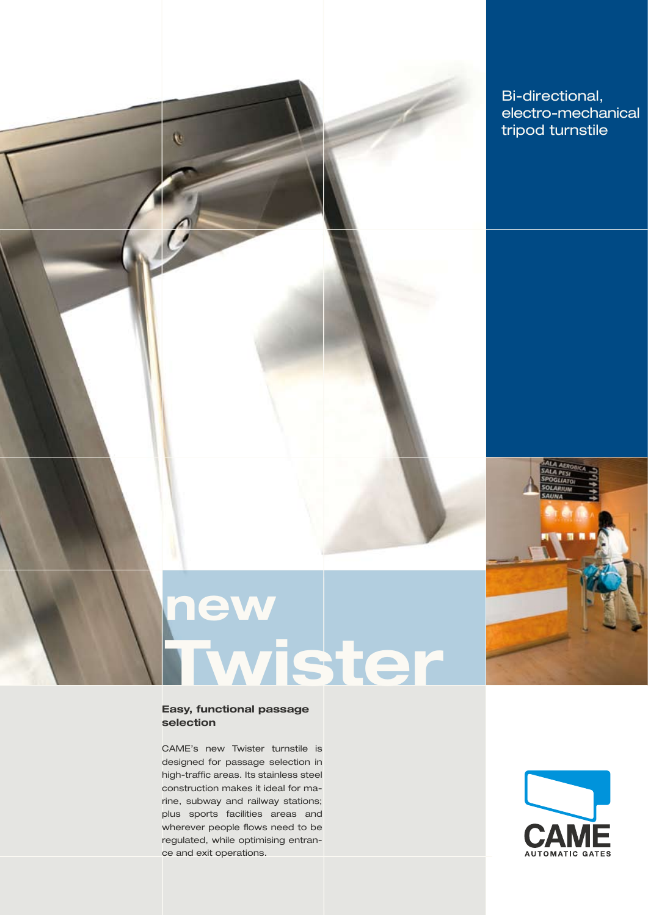

# **new Twister**

#### **Easy, functional passage selection**

 $\overline{v}$ 

CAME's new Twister turnstile is designed for passage selection in high-traffic areas. Its stainless steel construction makes it ideal for marine, subway and railway stations; plus sports facilities areas and wherever people flows need to be regulated, while optimising entrance and exit operations.